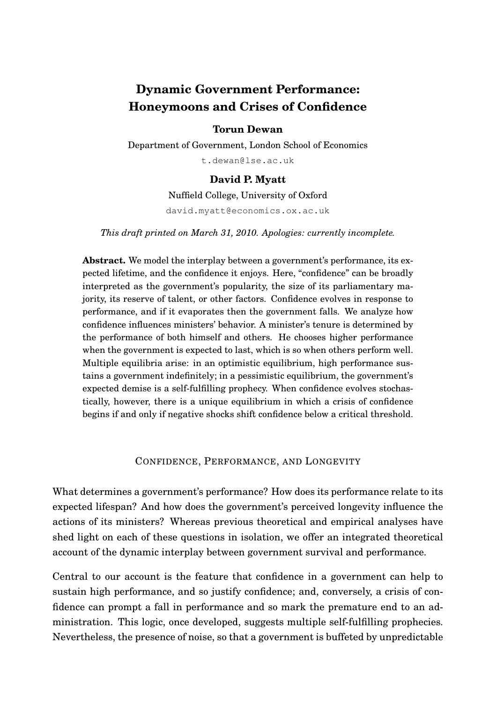# **Dynamic Government Performance: Honeymoons and Crises of Confidence**

# **Torun Dewan**

Department of Government, London School of Economics t.dewan@lse.ac.uk

# **David P. Myatt**

Nuffield College, University of Oxford

david.myatt@economics.ox.ac.uk

*This draft printed on March 31, 2010. Apologies: currently incomplete.*

**Abstract.** We model the interplay between a government's performance, its expected lifetime, and the confidence it enjoys. Here, "confidence" can be broadly interpreted as the government's popularity, the size of its parliamentary majority, its reserve of talent, or other factors. Confidence evolves in response to performance, and if it evaporates then the government falls. We analyze how confidence influences ministers' behavior. A minister's tenure is determined by the performance of both himself and others. He chooses higher performance when the government is expected to last, which is so when others perform well. Multiple equilibria arise: in an optimistic equilibrium, high performance sustains a government indefinitely; in a pessimistic equilibrium, the government's expected demise is a self-fulfilling prophecy. When confidence evolves stochastically, however, there is a unique equilibrium in which a crisis of confidence begins if and only if negative shocks shift confidence below a critical threshold.

CONFIDENCE, PERFORMANCE, AND LONGEVITY

What determines a government's performance? How does its performance relate to its expected lifespan? And how does the government's perceived longevity influence the actions of its ministers? Whereas previous theoretical and empirical analyses have shed light on each of these questions in isolation, we offer an integrated theoretical account of the dynamic interplay between government survival and performance.

Central to our account is the feature that confidence in a government can help to sustain high performance, and so justify confidence; and, conversely, a crisis of confidence can prompt a fall in performance and so mark the premature end to an administration. This logic, once developed, suggests multiple self-fulfilling prophecies. Nevertheless, the presence of noise, so that a government is buffeted by unpredictable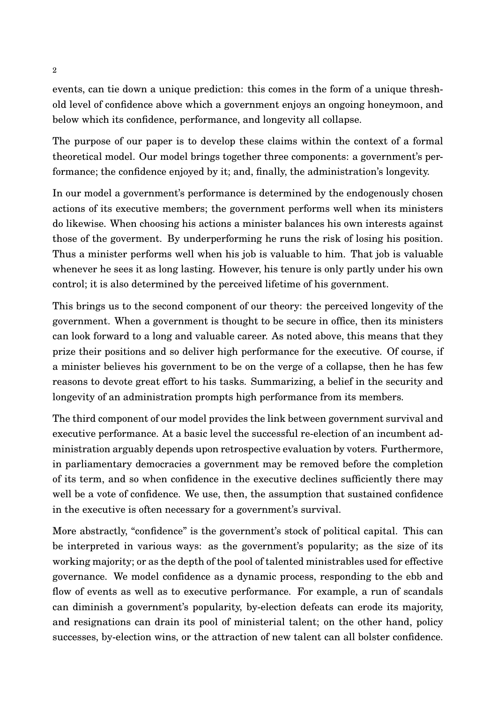events, can tie down a unique prediction: this comes in the form of a unique threshold level of confidence above which a government enjoys an ongoing honeymoon, and below which its confidence, performance, and longevity all collapse.

The purpose of our paper is to develop these claims within the context of a formal theoretical model. Our model brings together three components: a government's performance; the confidence enjoyed by it; and, finally, the administration's longevity.

In our model a government's performance is determined by the endogenously chosen actions of its executive members; the government performs well when its ministers do likewise. When choosing his actions a minister balances his own interests against those of the goverment. By underperforming he runs the risk of losing his position. Thus a minister performs well when his job is valuable to him. That job is valuable whenever he sees it as long lasting. However, his tenure is only partly under his own control; it is also determined by the perceived lifetime of his government.

This brings us to the second component of our theory: the perceived longevity of the government. When a government is thought to be secure in office, then its ministers can look forward to a long and valuable career. As noted above, this means that they prize their positions and so deliver high performance for the executive. Of course, if a minister believes his government to be on the verge of a collapse, then he has few reasons to devote great effort to his tasks. Summarizing, a belief in the security and longevity of an administration prompts high performance from its members.

The third component of our model provides the link between government survival and executive performance. At a basic level the successful re-election of an incumbent administration arguably depends upon retrospective evaluation by voters. Furthermore, in parliamentary democracies a government may be removed before the completion of its term, and so when confidence in the executive declines sufficiently there may well be a vote of confidence. We use, then, the assumption that sustained confidence in the executive is often necessary for a government's survival.

More abstractly, "confidence" is the government's stock of political capital. This can be interpreted in various ways: as the government's popularity; as the size of its working majority; or as the depth of the pool of talented ministrables used for effective governance. We model confidence as a dynamic process, responding to the ebb and flow of events as well as to executive performance. For example, a run of scandals can diminish a government's popularity, by-election defeats can erode its majority, and resignations can drain its pool of ministerial talent; on the other hand, policy successes, by-election wins, or the attraction of new talent can all bolster confidence.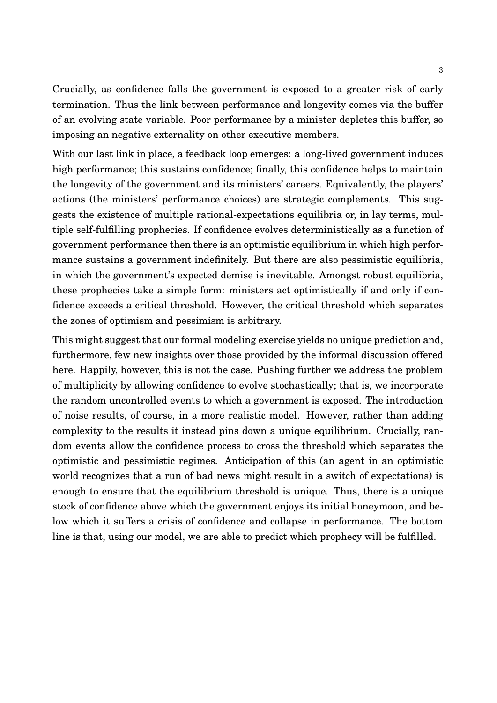Crucially, as confidence falls the government is exposed to a greater risk of early termination. Thus the link between performance and longevity comes via the buffer of an evolving state variable. Poor performance by a minister depletes this buffer, so imposing an negative externality on other executive members.

With our last link in place, a feedback loop emerges: a long-lived government induces high performance; this sustains confidence; finally, this confidence helps to maintain the longevity of the government and its ministers' careers. Equivalently, the players' actions (the ministers' performance choices) are strategic complements. This suggests the existence of multiple rational-expectations equilibria or, in lay terms, multiple self-fulfilling prophecies. If confidence evolves deterministically as a function of government performance then there is an optimistic equilibrium in which high performance sustains a government indefinitely. But there are also pessimistic equilibria, in which the government's expected demise is inevitable. Amongst robust equilibria, these prophecies take a simple form: ministers act optimistically if and only if confidence exceeds a critical threshold. However, the critical threshold which separates the zones of optimism and pessimism is arbitrary.

This might suggest that our formal modeling exercise yields no unique prediction and, furthermore, few new insights over those provided by the informal discussion offered here. Happily, however, this is not the case. Pushing further we address the problem of multiplicity by allowing confidence to evolve stochastically; that is, we incorporate the random uncontrolled events to which a government is exposed. The introduction of noise results, of course, in a more realistic model. However, rather than adding complexity to the results it instead pins down a unique equilibrium. Crucially, random events allow the confidence process to cross the threshold which separates the optimistic and pessimistic regimes. Anticipation of this (an agent in an optimistic world recognizes that a run of bad news might result in a switch of expectations) is enough to ensure that the equilibrium threshold is unique. Thus, there is a unique stock of confidence above which the government enjoys its initial honeymoon, and below which it suffers a crisis of confidence and collapse in performance. The bottom line is that, using our model, we are able to predict which prophecy will be fulfilled.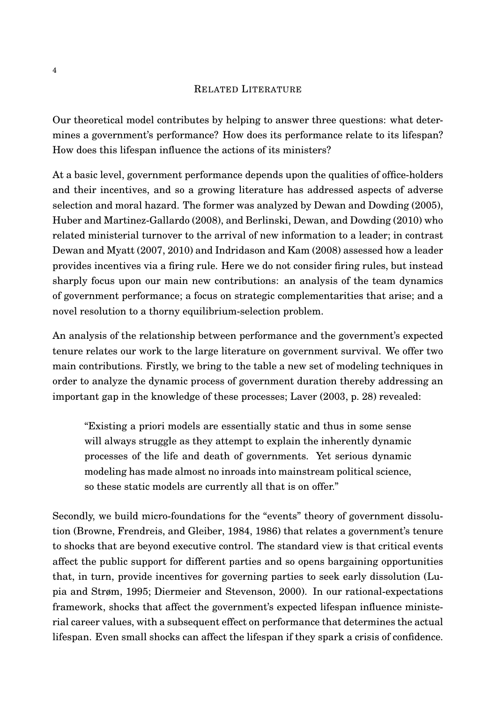# RELATED LITERATURE

Our theoretical model contributes by helping to answer three questions: what determines a government's performance? How does its performance relate to its lifespan? How does this lifespan influence the actions of its ministers?

At a basic level, government performance depends upon the qualities of office-holders and their incentives, and so a growing literature has addressed aspects of adverse selection and moral hazard. The former was analyzed by Dewan and Dowding (2005), Huber and Martinez-Gallardo (2008), and Berlinski, Dewan, and Dowding (2010) who related ministerial turnover to the arrival of new information to a leader; in contrast Dewan and Myatt (2007, 2010) and Indridason and Kam (2008) assessed how a leader provides incentives via a firing rule. Here we do not consider firing rules, but instead sharply focus upon our main new contributions: an analysis of the team dynamics of government performance; a focus on strategic complementarities that arise; and a novel resolution to a thorny equilibrium-selection problem.

An analysis of the relationship between performance and the government's expected tenure relates our work to the large literature on government survival. We offer two main contributions. Firstly, we bring to the table a new set of modeling techniques in order to analyze the dynamic process of government duration thereby addressing an important gap in the knowledge of these processes; Laver (2003, p. 28) revealed:

"Existing a priori models are essentially static and thus in some sense will always struggle as they attempt to explain the inherently dynamic processes of the life and death of governments. Yet serious dynamic modeling has made almost no inroads into mainstream political science, so these static models are currently all that is on offer."

Secondly, we build micro-foundations for the "events" theory of government dissolution (Browne, Frendreis, and Gleiber, 1984, 1986) that relates a government's tenure to shocks that are beyond executive control. The standard view is that critical events affect the public support for different parties and so opens bargaining opportunities that, in turn, provide incentives for governing parties to seek early dissolution (Lupia and Strøm, 1995; Diermeier and Stevenson, 2000). In our rational-expectations framework, shocks that affect the government's expected lifespan influence ministerial career values, with a subsequent effect on performance that determines the actual lifespan. Even small shocks can affect the lifespan if they spark a crisis of confidence.

4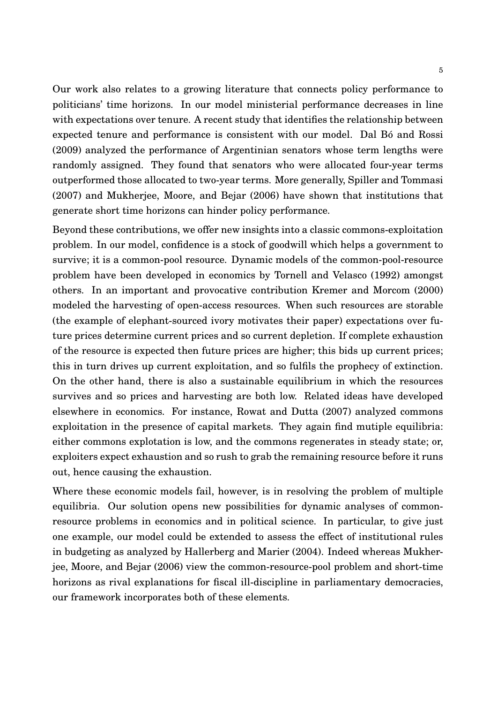Our work also relates to a growing literature that connects policy performance to politicians' time horizons. In our model ministerial performance decreases in line with expectations over tenure. A recent study that identifies the relationship between expected tenure and performance is consistent with our model. Dal Bó and Rossi (2009) analyzed the performance of Argentinian senators whose term lengths were randomly assigned. They found that senators who were allocated four-year terms outperformed those allocated to two-year terms. More generally, Spiller and Tommasi (2007) and Mukherjee, Moore, and Bejar (2006) have shown that institutions that generate short time horizons can hinder policy performance.

Beyond these contributions, we offer new insights into a classic commons-exploitation problem. In our model, confidence is a stock of goodwill which helps a government to survive; it is a common-pool resource. Dynamic models of the common-pool-resource problem have been developed in economics by Tornell and Velasco (1992) amongst others. In an important and provocative contribution Kremer and Morcom (2000) modeled the harvesting of open-access resources. When such resources are storable (the example of elephant-sourced ivory motivates their paper) expectations over future prices determine current prices and so current depletion. If complete exhaustion of the resource is expected then future prices are higher; this bids up current prices; this in turn drives up current exploitation, and so fulfils the prophecy of extinction. On the other hand, there is also a sustainable equilibrium in which the resources survives and so prices and harvesting are both low. Related ideas have developed elsewhere in economics. For instance, Rowat and Dutta (2007) analyzed commons exploitation in the presence of capital markets. They again find mutiple equilibria: either commons explotation is low, and the commons regenerates in steady state; or, exploiters expect exhaustion and so rush to grab the remaining resource before it runs out, hence causing the exhaustion.

Where these economic models fail, however, is in resolving the problem of multiple equilibria. Our solution opens new possibilities for dynamic analyses of commonresource problems in economics and in political science. In particular, to give just one example, our model could be extended to assess the effect of institutional rules in budgeting as analyzed by Hallerberg and Marier (2004). Indeed whereas Mukherjee, Moore, and Bejar (2006) view the common-resource-pool problem and short-time horizons as rival explanations for fiscal ill-discipline in parliamentary democracies, our framework incorporates both of these elements.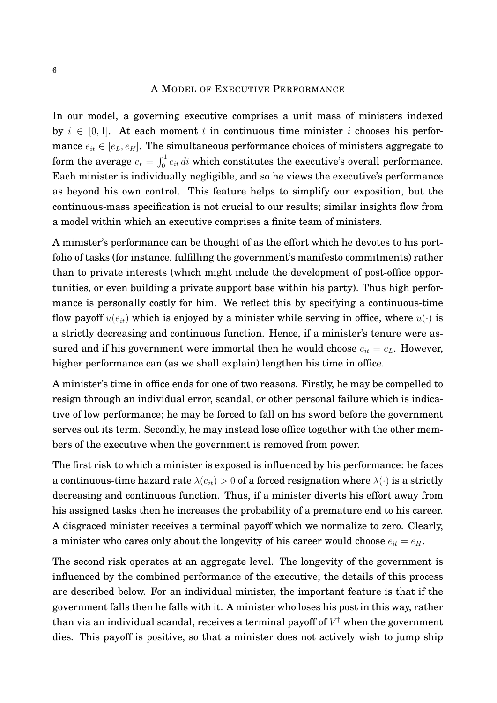## A MODEL OF EXECUTIVE PERFORMANCE

In our model, a governing executive comprises a unit mass of ministers indexed by  $i \in [0,1]$ . At each moment t in continuous time minister i chooses his performance  $e_{it} \in [e_L, e_H]$ . The simultaneous performance choices of ministers aggregate to form the average  $e_t = \int_0^1 e_{it} \, di$  which constitutes the executive's overall performance. Each minister is individually negligible, and so he views the executive's performance as beyond his own control. This feature helps to simplify our exposition, but the continuous-mass specification is not crucial to our results; similar insights flow from a model within which an executive comprises a finite team of ministers.

A minister's performance can be thought of as the effort which he devotes to his portfolio of tasks (for instance, fulfilling the government's manifesto commitments) rather than to private interests (which might include the development of post-office opportunities, or even building a private support base within his party). Thus high performance is personally costly for him. We reflect this by specifying a continuous-time flow payoff  $u(e_{it})$  which is enjoyed by a minister while serving in office, where  $u(\cdot)$  is a strictly decreasing and continuous function. Hence, if a minister's tenure were assured and if his government were immortal then he would choose  $e_{it} = e_L$ . However, higher performance can (as we shall explain) lengthen his time in office.

A minister's time in office ends for one of two reasons. Firstly, he may be compelled to resign through an individual error, scandal, or other personal failure which is indicative of low performance; he may be forced to fall on his sword before the government serves out its term. Secondly, he may instead lose office together with the other members of the executive when the government is removed from power.

The first risk to which a minister is exposed is influenced by his performance: he faces a continuous-time hazard rate  $\lambda(e_{it}) > 0$  of a forced resignation where  $\lambda(\cdot)$  is a strictly decreasing and continuous function. Thus, if a minister diverts his effort away from his assigned tasks then he increases the probability of a premature end to his career. A disgraced minister receives a terminal payoff which we normalize to zero. Clearly, a minister who cares only about the longevity of his career would choose  $e_{it} = e_H$ .

The second risk operates at an aggregate level. The longevity of the government is influenced by the combined performance of the executive; the details of this process are described below. For an individual minister, the important feature is that if the government falls then he falls with it. A minister who loses his post in this way, rather than via an individual scandal, receives a terminal payoff of  $V^{\dagger}$  when the government dies. This payoff is positive, so that a minister does not actively wish to jump ship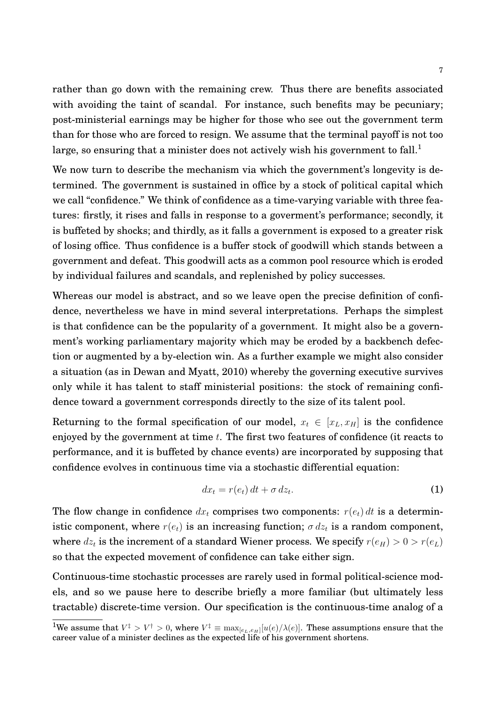rather than go down with the remaining crew. Thus there are benefits associated with avoiding the taint of scandal. For instance, such benefits may be pecuniary; post-ministerial earnings may be higher for those who see out the government term than for those who are forced to resign. We assume that the terminal payoff is not too large, so ensuring that a minister does not actively wish his government to fall.<sup>1</sup>

We now turn to describe the mechanism via which the government's longevity is determined. The government is sustained in office by a stock of political capital which we call "confidence." We think of confidence as a time-varying variable with three features: firstly, it rises and falls in response to a goverment's performance; secondly, it is buffeted by shocks; and thirdly, as it falls a government is exposed to a greater risk of losing office. Thus confidence is a buffer stock of goodwill which stands between a government and defeat. This goodwill acts as a common pool resource which is eroded by individual failures and scandals, and replenished by policy successes.

Whereas our model is abstract, and so we leave open the precise definition of confidence, nevertheless we have in mind several interpretations. Perhaps the simplest is that confidence can be the popularity of a government. It might also be a government's working parliamentary majority which may be eroded by a backbench defection or augmented by a by-election win. As a further example we might also consider a situation (as in Dewan and Myatt, 2010) whereby the governing executive survives only while it has talent to staff ministerial positions: the stock of remaining confidence toward a government corresponds directly to the size of its talent pool.

Returning to the formal specification of our model,  $x_t \in [x_L, x_H]$  is the confidence enjoyed by the government at time  $t$ . The first two features of confidence (it reacts to performance, and it is buffeted by chance events) are incorporated by supposing that confidence evolves in continuous time via a stochastic differential equation:

$$
dx_t = r(e_t) dt + \sigma dz_t.
$$
 (1)

The flow change in confidence  $dx_t$  comprises two components:  $r(e_t) dt$  is a deterministic component, where  $r(e_t)$  is an increasing function;  $\sigma dz_t$  is a random component, where  $dz_t$  is the increment of a standard Wiener process. We specify  $r(e_H) > 0 > r(e_L)$ so that the expected movement of confidence can take either sign.

Continuous-time stochastic processes are rarely used in formal political-science models, and so we pause here to describe briefly a more familiar (but ultimately less tractable) discrete-time version. Our specification is the continuous-time analog of a

<sup>&</sup>lt;sup>1</sup>We assume that  $V^{\dagger} > V^{\dagger} > 0$ , where  $V^{\dagger} \equiv \max_{[e_L,e_H]} [u(e)/\lambda(e)]$ . These assumptions ensure that the career value of a minister declines as the expected life of his government shortens.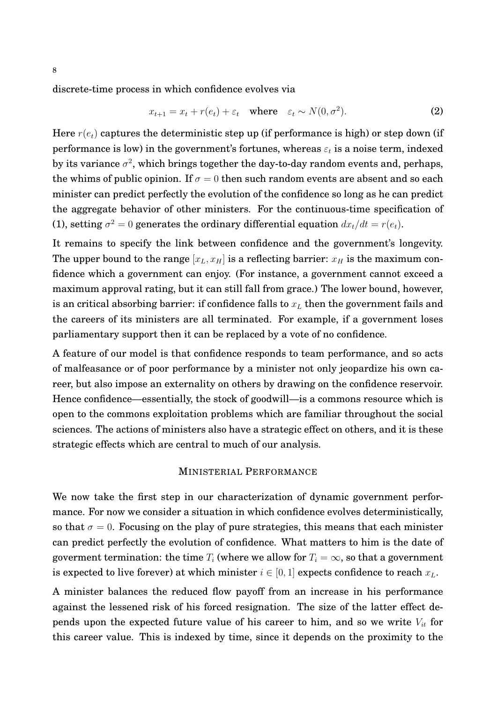discrete-time process in which confidence evolves via

$$
x_{t+1} = x_t + r(e_t) + \varepsilon_t \quad \text{where} \quad \varepsilon_t \sim N(0, \sigma^2). \tag{2}
$$

Here  $r(e_t)$  captures the deterministic step up (if performance is high) or step down (if performance is low) in the government's fortunes, whereas  $\varepsilon_t$  is a noise term, indexed by its variance  $\sigma^2$ , which brings together the day-to-day random events and, perhaps, the whims of public opinion. If  $\sigma = 0$  then such random events are absent and so each minister can predict perfectly the evolution of the confidence so long as he can predict the aggregate behavior of other ministers. For the continuous-time specification of (1), setting  $\sigma^2 = 0$  generates the ordinary differential equation  $dx_t/dt = r(e_t)$ .

It remains to specify the link between confidence and the government's longevity. The upper bound to the range  $[x_L, x_H]$  is a reflecting barrier:  $x_H$  is the maximum confidence which a government can enjoy. (For instance, a government cannot exceed a maximum approval rating, but it can still fall from grace.) The lower bound, however, is an critical absorbing barrier: if confidence falls to  $x_L$  then the government fails and the careers of its ministers are all terminated. For example, if a government loses parliamentary support then it can be replaced by a vote of no confidence.

A feature of our model is that confidence responds to team performance, and so acts of malfeasance or of poor performance by a minister not only jeopardize his own career, but also impose an externality on others by drawing on the confidence reservoir. Hence confidence—essentially, the stock of goodwill—is a commons resource which is open to the commons exploitation problems which are familiar throughout the social sciences. The actions of ministers also have a strategic effect on others, and it is these strategic effects which are central to much of our analysis.

## MINISTERIAL PERFORMANCE

We now take the first step in our characterization of dynamic government performance. For now we consider a situation in which confidence evolves deterministically, so that  $\sigma = 0$ . Focusing on the play of pure strategies, this means that each minister can predict perfectly the evolution of confidence. What matters to him is the date of goverment termination: the time  $T_i$  (where we allow for  $T_i = \infty$ , so that a government is expected to live forever) at which minister  $i \in [0, 1]$  expects confidence to reach  $x_L$ .

A minister balances the reduced flow payoff from an increase in his performance against the lessened risk of his forced resignation. The size of the latter effect depends upon the expected future value of his career to him, and so we write  $V_{it}$  for this career value. This is indexed by time, since it depends on the proximity to the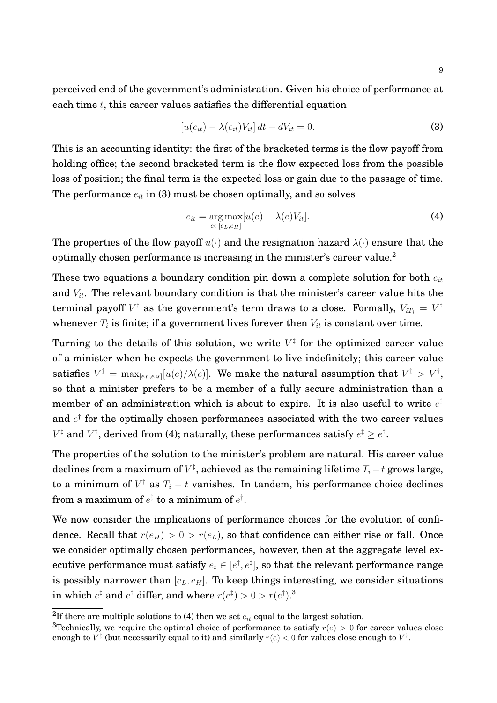perceived end of the government's administration. Given his choice of performance at each time  $t$ , this career values satisfies the differential equation

$$
[u(e_{it}) - \lambda(e_{it})V_{it}] dt + dV_{it} = 0.
$$
\n(3)

This is an accounting identity: the first of the bracketed terms is the flow payoff from holding office; the second bracketed term is the flow expected loss from the possible loss of position; the final term is the expected loss or gain due to the passage of time. The performance  $e_{it}$  in (3) must be chosen optimally, and so solves

$$
e_{it} = \underset{e \in [e_L, e_H]}{\arg \max} [u(e) - \lambda(e)V_{it}]. \tag{4}
$$

The properties of the flow payoff  $u(\cdot)$  and the resignation hazard  $\lambda(\cdot)$  ensure that the optimally chosen performance is increasing in the minister's career value.<sup>2</sup>

These two equations a boundary condition pin down a complete solution for both  $e_{it}$ and  $V_{it}$ . The relevant boundary condition is that the minister's career value hits the terminal payoff  $V^{\dagger}$  as the government's term draws to a close. Formally,  $V_{iT_i} = V^{\dagger}$ whenever  $T_i$  is finite; if a government lives forever then  $V_{it}$  is constant over time.

Turning to the details of this solution, we write  $V^{\ddagger}$  for the optimized career value of a minister when he expects the government to live indefinitely; this career value satisfies  $V^{\ddagger} = \max_{[e_L, e_H]} [u(e)/\lambda(e)].$  We make the natural assumption that  $V^{\ddagger} > V^{\dagger}$ , so that a minister prefers to be a member of a fully secure administration than a member of an administration which is about to expire. It is also useful to write  $e^{\frac{1}{k}}$ and  $e^{\dagger}$  for the optimally chosen performances associated with the two career values  $V^{\ddagger}$  and  $V^{\dagger}$ , derived from (4); naturally, these performances satisfy  $e^{\ddagger} \geq e^{\dagger}$ .

The properties of the solution to the minister's problem are natural. His career value declines from a maximum of  $V^{\ddagger}$ , achieved as the remaining lifetime  $T_i-t$  grows large, to a minimum of  $V^{\dagger}$  as  $T_i - t$  vanishes. In tandem, his performance choice declines from a maximum of  $e^{\ddagger}$  to a minimum of  $e^{\dagger}$ .

We now consider the implications of performance choices for the evolution of confidence. Recall that  $r(e_H) > 0 > r(e_L)$ , so that confidence can either rise or fall. Once we consider optimally chosen performances, however, then at the aggregate level executive performance must satisfy  $e_t \in [e^\dagger, e^\ddagger],$  so that the relevant performance range is possibly narrower than  $[e_L, e_H]$ . To keep things interesting, we consider situations in which  $e^{\ddagger}$  and  $e^{\dagger}$  differ, and where  $r(e^{\ddagger})>0>r(e^{\dagger}).^3$ 

 $^{2}$ If there are multiple solutions to (4) then we set  $e_{it}$  equal to the largest solution.

<sup>&</sup>lt;sup>3</sup>Technically, we require the optimal choice of performance to satisfy  $r(e) > 0$  for career values close enough to  $V^{\ddagger}$  (but necessarily equal to it) and similarly  $r(e) < 0$  for values close enough to  $V^{\dagger}$ .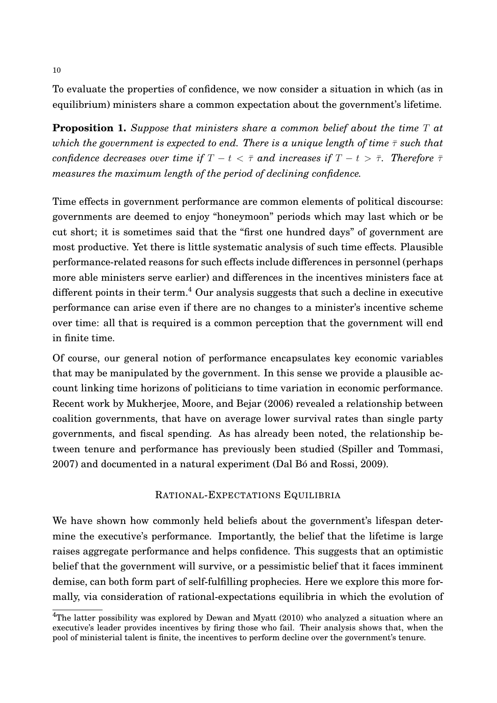To evaluate the properties of confidence, we now consider a situation in which (as in equilibrium) ministers share a common expectation about the government's lifetime.

**Proposition 1.** *Suppose that ministers share a common belief about the time* T *at which the government is expected to end. There is a unique length of time*  $\bar{\tau}$  *such that confidence decreases over time if*  $T - t < \overline{\tau}$  *and increases if*  $T - t > \overline{\tau}$ *. Therefore*  $\overline{\tau}$ *measures the maximum length of the period of declining confidence.*

Time effects in government performance are common elements of political discourse: governments are deemed to enjoy "honeymoon" periods which may last which or be cut short; it is sometimes said that the "first one hundred days" of government are most productive. Yet there is little systematic analysis of such time effects. Plausible performance-related reasons for such effects include differences in personnel (perhaps more able ministers serve earlier) and differences in the incentives ministers face at different points in their term.<sup>4</sup> Our analysis suggests that such a decline in executive performance can arise even if there are no changes to a minister's incentive scheme over time: all that is required is a common perception that the government will end in finite time.

Of course, our general notion of performance encapsulates key economic variables that may be manipulated by the government. In this sense we provide a plausible account linking time horizons of politicians to time variation in economic performance. Recent work by Mukherjee, Moore, and Bejar (2006) revealed a relationship between coalition governments, that have on average lower survival rates than single party governments, and fiscal spending. As has already been noted, the relationship between tenure and performance has previously been studied (Spiller and Tommasi, 2007) and documented in a natural experiment (Dal Bó and Rossi, 2009).

# RATIONAL-EXPECTATIONS EQUILIBRIA

We have shown how commonly held beliefs about the government's lifespan determine the executive's performance. Importantly, the belief that the lifetime is large raises aggregate performance and helps confidence. This suggests that an optimistic belief that the government will survive, or a pessimistic belief that it faces imminent demise, can both form part of self-fulfilling prophecies. Here we explore this more formally, via consideration of rational-expectations equilibria in which the evolution of

<sup>&</sup>lt;sup>4</sup>The latter possibility was explored by Dewan and Myatt (2010) who analyzed a situation where an executive's leader provides incentives by firing those who fail. Their analysis shows that, when the pool of ministerial talent is finite, the incentives to perform decline over the government's tenure.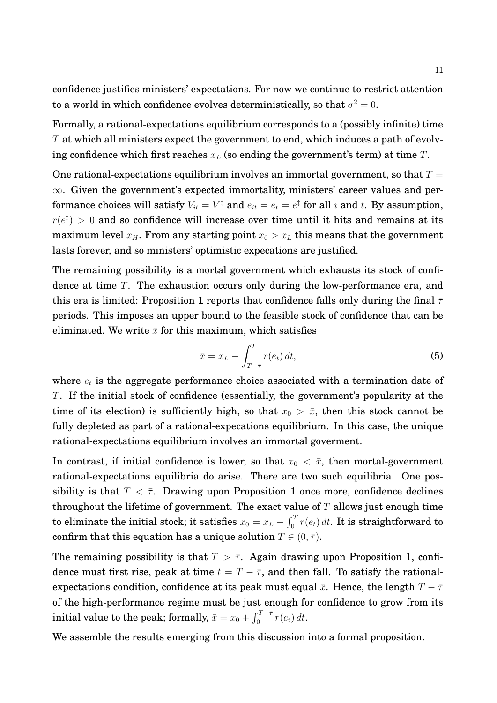confidence justifies ministers' expectations. For now we continue to restrict attention to a world in which confidence evolves deterministically, so that  $\sigma^2 = 0$ .

Formally, a rational-expectations equilibrium corresponds to a (possibly infinite) time  $T$  at which all ministers expect the government to end, which induces a path of evolving confidence which first reaches  $x<sub>L</sub>$  (so ending the government's term) at time T.

One rational-expectations equilibrium involves an immortal government, so that  $T =$  $\infty$ . Given the government's expected immortality, ministers' career values and performance choices will satisfy  $V_{it}=V^{\ddagger}$  and  $e_{it}=e_t=e^{\ddagger}$  for all  $i$  and  $t.$  By assumption,  $r(e^{\dagger}) > 0$  and so confidence will increase over time until it hits and remains at its maximum level  $x_H$ . From any starting point  $x_0 > x_L$  this means that the government lasts forever, and so ministers' optimistic expecations are justified.

The remaining possibility is a mortal government which exhausts its stock of confidence at time T. The exhaustion occurs only during the low-performance era, and this era is limited: Proposition 1 reports that confidence falls only during the final  $\bar{\tau}$ periods. This imposes an upper bound to the feasible stock of confidence that can be eliminated. We write  $\bar{x}$  for this maximum, which satisfies

$$
\bar{x} = x_L - \int_{T-\bar{\tau}}^T r(e_t) dt,
$$
\n(5)

where  $e_t$  is the aggregate performance choice associated with a termination date of T. If the initial stock of confidence (essentially, the government's popularity at the time of its election) is sufficiently high, so that  $x_0 > \bar{x}$ , then this stock cannot be fully depleted as part of a rational-expecations equilibrium. In this case, the unique rational-expectations equilibrium involves an immortal goverment.

In contrast, if initial confidence is lower, so that  $x_0 < \bar{x}$ , then mortal-government rational-expectations equilibria do arise. There are two such equilibria. One possibility is that  $T < \overline{\tau}$ . Drawing upon Proposition 1 once more, confidence declines throughout the lifetime of government. The exact value of  $T$  allows just enough time to eliminate the initial stock; it satisfies  $x_0 = x_L - \int_0^T r(e_t) \, dt$ . It is straightforward to confirm that this equation has a unique solution  $T \in (0, \bar{\tau})$ .

The remaining possibility is that  $T > \bar{\tau}$ . Again drawing upon Proposition 1, confidence must first rise, peak at time  $t = T - \overline{\tau}$ , and then fall. To satisfy the rationalexpectations condition, confidence at its peak must equal  $\bar{x}$ . Hence, the length  $T - \bar{\tau}$ of the high-performance regime must be just enough for confidence to grow from its initial value to the peak; formally,  $\bar{x} = x_0 + \int_0^{T - \bar{\tau}} r(e_t) \, dt$ .

We assemble the results emerging from this discussion into a formal proposition.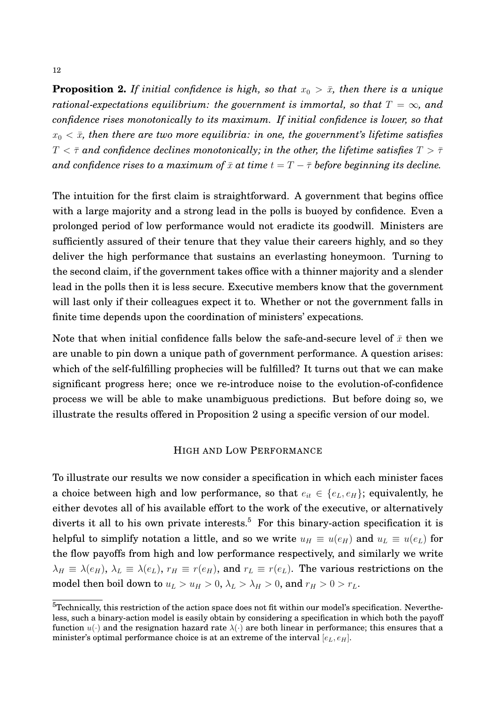**Proposition 2.** If initial confidence is high, so that  $x_0 > \bar{x}$ , then there is a unique *rational-expectations equilibrium: the government is immortal, so that*  $T = \infty$ *, and confidence rises monotonically to its maximum. If initial confidence is lower, so that*  $x_0 < \bar{x}$ , then there are two more equilibria: in one, the government's lifetime satisfies  $T < \bar{\tau}$  and confidence declines monotonically; in the other, the lifetime satisfies  $T > \bar{\tau}$ and confidence rises to a maximum of  $\bar{x}$  at time  $t = T - \bar{\tau}$  before beginning its decline.

The intuition for the first claim is straightforward. A government that begins office with a large majority and a strong lead in the polls is buoyed by confidence. Even a prolonged period of low performance would not eradicte its goodwill. Ministers are sufficiently assured of their tenure that they value their careers highly, and so they deliver the high performance that sustains an everlasting honeymoon. Turning to the second claim, if the government takes office with a thinner majority and a slender lead in the polls then it is less secure. Executive members know that the government will last only if their colleagues expect it to. Whether or not the government falls in finite time depends upon the coordination of ministers' expecations.

Note that when initial confidence falls below the safe-and-secure level of  $\bar{x}$  then we are unable to pin down a unique path of government performance. A question arises: which of the self-fulfilling prophecies will be fulfilled? It turns out that we can make significant progress here; once we re-introduce noise to the evolution-of-confidence process we will be able to make unambiguous predictions. But before doing so, we illustrate the results offered in Proposition 2 using a specific version of our model.

### HIGH AND LOW PERFORMANCE

To illustrate our results we now consider a specification in which each minister faces a choice between high and low performance, so that  $e_{it} \in \{e_L, e_H\}$ ; equivalently, he either devotes all of his available effort to the work of the executive, or alternatively diverts it all to his own private interests.<sup>5</sup> For this binary-action specification it is helpful to simplify notation a little, and so we write  $u_H \equiv u(e_H)$  and  $u_L \equiv u(e_L)$  for the flow payoffs from high and low performance respectively, and similarly we write  $\lambda_H \equiv \lambda(e_H)$ ,  $\lambda_L \equiv \lambda(e_L)$ ,  $r_H \equiv r(e_H)$ , and  $r_L \equiv r(e_L)$ . The various restrictions on the model then boil down to  $u_L > u_H > 0$ ,  $\lambda_L > \lambda_H > 0$ , and  $r_H > 0 > r_L$ .

 $5$ Technically, this restriction of the action space does not fit within our model's specification. Nevertheless, such a binary-action model is easily obtain by considering a specification in which both the payoff function  $u(\cdot)$  and the resignation hazard rate  $\lambda(\cdot)$  are both linear in performance; this ensures that a minister's optimal performance choice is at an extreme of the interval  $[e_L, e_H]$ .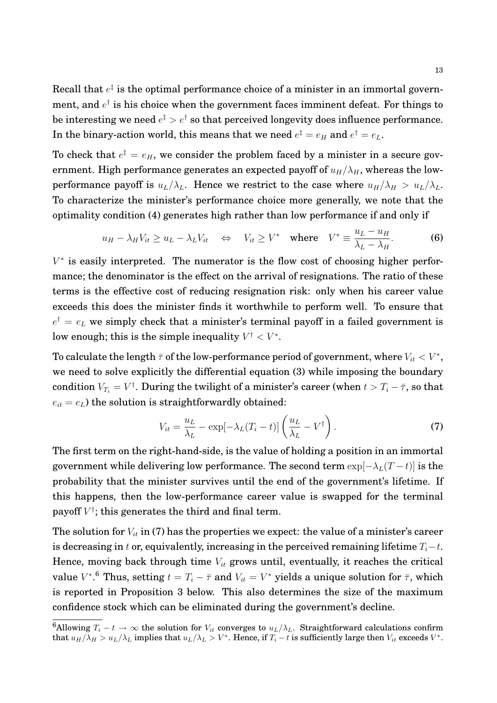Recall that  $e^{\ddagger}$  is the optimal performance choice of a minister in an immortal government, and  $e^{\dagger}$  is his choice when the government faces imminent defeat. For things to be interesting we need  $e^\ddagger > e^\dagger$  so that perceived longevity does influence performance. In the binary-action world, this means that we need  $e^{\ddagger}=e_H$  and  $e^{\dagger}=e_L.$ 

To check that  $e^{\ddagger} = e_H$ , we consider the problem faced by a minister in a secure government. High performance generates an expected payoff of  $u_H/\lambda_H$ , whereas the lowperformance payoff is  $u_L/\lambda_L$ . Hence we restrict to the case where  $u_H/\lambda_H > u_L/\lambda_L$ . To characterize the minister's performance choice more generally, we note that the optimality condition (4) generates high rather than low performance if and only if

$$
u_H - \lambda_H V_{it} \ge u_L - \lambda_L V_{it} \quad \Leftrightarrow \quad V_{it} \ge V^* \quad \text{where} \quad V^* \equiv \frac{u_L - u_H}{\lambda_L - \lambda_H}.\tag{6}
$$

 $V^*$  is easily interpreted. The numerator is the flow cost of choosing higher performance; the denominator is the effect on the arrival of resignations. The ratio of these terms is the effective cost of reducing resignation risk: only when his career value exceeds this does the minister finds it worthwhile to perform well. To ensure that  $e^{\dagger} = e_L$  we simply check that a minister's terminal payoff in a failed government is low enough; this is the simple inequality  $V^{\dagger} < V^*$ .

To calculate the length  $\bar{\tau}$  of the low-performance period of government, where  $V_{it} < V^{*},$ we need to solve explicitly the differential equation (3) while imposing the boundary condition  $V_{T_i} = V^{\dagger}$ . During the twilight of a minister's career (when  $t > T_i - \bar{\tau}$ , so that  $e_{it} = e_L$ ) the solution is straightforwardly obtained:

$$
V_{it} = \frac{u_L}{\lambda_L} - \exp[-\lambda_L(T_i - t)] \left(\frac{u_L}{\lambda_L} - V^{\dagger}\right). \tag{7}
$$

The first term on the right-hand-side, is the value of holding a position in an immortal government while delivering low performance. The second term  $\exp[-\lambda_L(T-t)]$  is the probability that the minister survives until the end of the government's lifetime. If this happens, then the low-performance career value is swapped for the terminal payoff  $V^{\dagger}$ ; this generates the third and final term.

The solution for  $V_{it}$  in (7) has the properties we expect: the value of a minister's career is decreasing in t or, equivalently, increasing in the perceived remaining lifetime  $T_i-t$ . Hence, moving back through time  $V_{it}$  grows until, eventually, it reaches the critical value  $V^*$ .<sup>6</sup> Thus, setting  $t = T_i - \bar{\tau}$  and  $V_{it} = V^*$  yields a unique solution for  $\bar{\tau}$ , which is reported in Proposition 3 below. This also determines the size of the maximum confidence stock which can be eliminated during the government's decline.

<sup>6</sup>Allowing  $T_i - t \to \infty$  the solution for  $V_{it}$  converges to  $u_L/\lambda_L$ . Straightforward calculations confirm that  $u_H/\lambda_H > u_L/\lambda_L$  implies that  $u_L/\lambda_L > V^*$ . Hence, if  $T_i - t$  is sufficiently large then  $V_{it}$  exceeds  $V^*$ .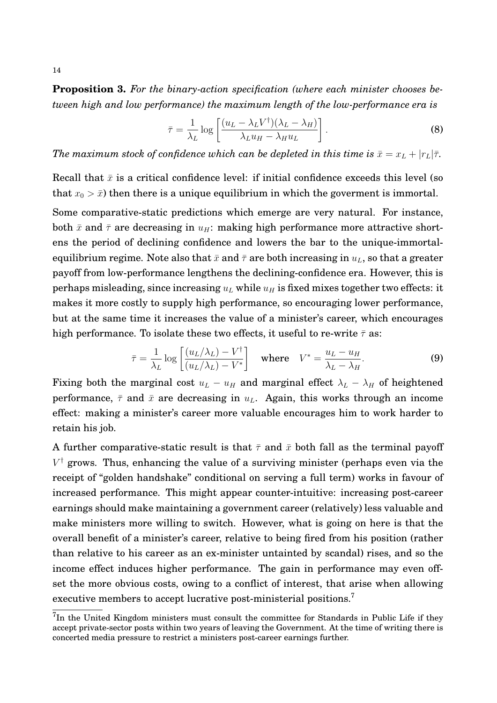**Proposition 3.** *For the binary-action specification (where each minister chooses between high and low performance) the maximum length of the low-performance era is*

$$
\bar{\tau} = \frac{1}{\lambda_L} \log \left[ \frac{(u_L - \lambda_L V^{\dagger})(\lambda_L - \lambda_H)}{\lambda_L u_H - \lambda_H u_L} \right].
$$
 (8)

*The maximum stock of confidence which can be depleted in this time is*  $\bar{x} = x_L + |r_L|\bar{\tau}$ *.* 

Recall that  $\bar{x}$  is a critical confidence level: if initial confidence exceeds this level (so that  $x_0 > \bar{x}$ ) then there is a unique equilibrium in which the goverment is immortal.

Some comparative-static predictions which emerge are very natural. For instance, both  $\bar{x}$  and  $\bar{\tau}$  are decreasing in  $u_H$ : making high performance more attractive shortens the period of declining confidence and lowers the bar to the unique-immortalequilibrium regime. Note also that  $\bar{x}$  and  $\bar{\tau}$  are both increasing in  $u_L$ , so that a greater payoff from low-performance lengthens the declining-confidence era. However, this is perhaps misleading, since increasing  $u<sub>L</sub>$  while  $u<sub>H</sub>$  is fixed mixes together two effects: it makes it more costly to supply high performance, so encouraging lower performance, but at the same time it increases the value of a minister's career, which encourages high performance. To isolate these two effects, it useful to re-write  $\bar{\tau}$  as:

$$
\bar{\tau} = \frac{1}{\lambda_L} \log \left[ \frac{(u_L/\lambda_L) - V^{\dagger}}{(u_L/\lambda_L) - V^*} \right] \quad \text{where} \quad V^* = \frac{u_L - u_H}{\lambda_L - \lambda_H}.
$$
 (9)

Fixing both the marginal cost  $u_L - u_H$  and marginal effect  $\lambda_L - \lambda_H$  of heightened performance,  $\bar{\tau}$  and  $\bar{x}$  are decreasing in  $u_L$ . Again, this works through an income effect: making a minister's career more valuable encourages him to work harder to retain his job.

A further comparative-static result is that  $\bar{\tau}$  and  $\bar{x}$  both fall as the terminal payoff  $V^{\dagger}$  grows. Thus, enhancing the value of a surviving minister (perhaps even via the receipt of "golden handshake" conditional on serving a full term) works in favour of increased performance. This might appear counter-intuitive: increasing post-career earnings should make maintaining a government career (relatively) less valuable and make ministers more willing to switch. However, what is going on here is that the overall benefit of a minister's career, relative to being fired from his position (rather than relative to his career as an ex-minister untainted by scandal) rises, and so the income effect induces higher performance. The gain in performance may even offset the more obvious costs, owing to a conflict of interest, that arise when allowing executive members to accept lucrative post-ministerial positions.<sup>7</sup>

 ${}^{7}$ In the United Kingdom ministers must consult the committee for Standards in Public Life if they accept private-sector posts within two years of leaving the Government. At the time of writing there is concerted media pressure to restrict a ministers post-career earnings further.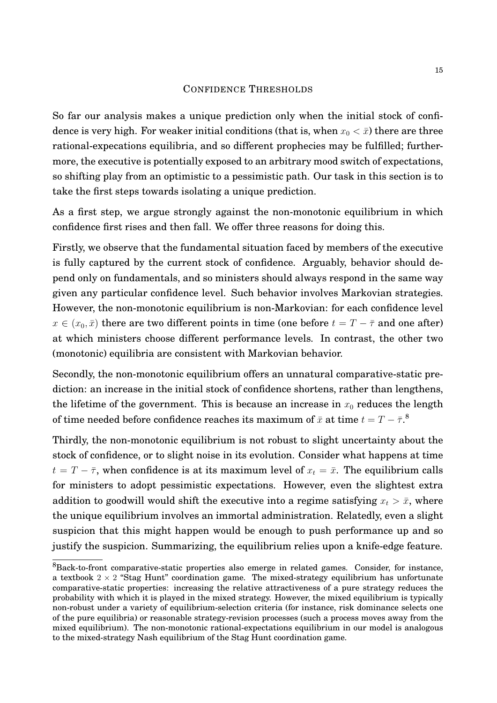#### CONFIDENCE THRESHOLDS

So far our analysis makes a unique prediction only when the initial stock of confidence is very high. For weaker initial conditions (that is, when  $x_0 < \bar{x}$ ) there are three rational-expecations equilibria, and so different prophecies may be fulfilled; furthermore, the executive is potentially exposed to an arbitrary mood switch of expectations, so shifting play from an optimistic to a pessimistic path. Our task in this section is to take the first steps towards isolating a unique prediction.

As a first step, we argue strongly against the non-monotonic equilibrium in which confidence first rises and then fall. We offer three reasons for doing this.

Firstly, we observe that the fundamental situation faced by members of the executive is fully captured by the current stock of confidence. Arguably, behavior should depend only on fundamentals, and so ministers should always respond in the same way given any particular confidence level. Such behavior involves Markovian strategies. However, the non-monotonic equilibrium is non-Markovian: for each confidence level  $x \in (x_0, \bar{x})$  there are two different points in time (one before  $t = T - \bar{\tau}$  and one after) at which ministers choose different performance levels. In contrast, the other two (monotonic) equilibria are consistent with Markovian behavior.

Secondly, the non-monotonic equilibrium offers an unnatural comparative-static prediction: an increase in the initial stock of confidence shortens, rather than lengthens, the lifetime of the government. This is because an increase in  $x_0$  reduces the length of time needed before confidence reaches its maximum of  $\bar{x}$  at time  $t = T - \bar{\tau}.^8$ 

Thirdly, the non-monotonic equilibrium is not robust to slight uncertainty about the stock of confidence, or to slight noise in its evolution. Consider what happens at time  $t = T - \overline{\tau}$ , when confidence is at its maximum level of  $x_t = \overline{x}$ . The equilibrium calls for ministers to adopt pessimistic expectations. However, even the slightest extra addition to goodwill would shift the executive into a regime satisfying  $x_t > \bar{x}$ , where the unique equilibrium involves an immortal administration. Relatedly, even a slight suspicion that this might happen would be enough to push performance up and so justify the suspicion. Summarizing, the equilibrium relies upon a knife-edge feature.

 ${}^{8}$ Back-to-front comparative-static properties also emerge in related games. Consider, for instance, a textbook  $2 \times 2$  "Stag Hunt" coordination game. The mixed-strategy equilibrium has unfortunate comparative-static properties: increasing the relative attractiveness of a pure strategy reduces the probability with which it is played in the mixed strategy. However, the mixed equilibrium is typically non-robust under a variety of equilibrium-selection criteria (for instance, risk dominance selects one of the pure equilibria) or reasonable strategy-revision processes (such a process moves away from the mixed equilibrium). The non-monotonic rational-expectations equilibrium in our model is analogous to the mixed-strategy Nash equilibrium of the Stag Hunt coordination game.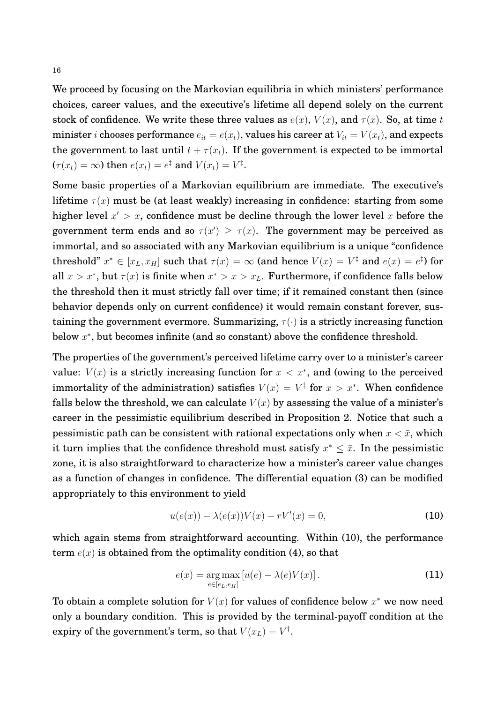We proceed by focusing on the Markovian equilibria in which ministers' performance choices, career values, and the executive's lifetime all depend solely on the current stock of confidence. We write these three values as  $e(x)$ ,  $V(x)$ , and  $\tau(x)$ . So, at time t minister *i* chooses performance  $e_{it} = e(x_t)$ , values his career at  $V_{it} = V(x_t)$ , and expects the government to last until  $t + \tau(x_t)$ . If the government is expected to be immortal  $(\tau(x_t) = \infty)$  then  $e(x_t) = e^{\ddagger}$  and  $V(x_t) = V^{\ddagger}$ .

Some basic properties of a Markovian equilibrium are immediate. The executive's lifetime  $\tau(x)$  must be (at least weakly) increasing in confidence: starting from some higher level  $x' > x$ , confidence must be decline through the lower level x before the government term ends and so  $\tau(x') \geq \tau(x)$ . The government may be perceived as immortal, and so associated with any Markovian equilibrium is a unique "confidence threshold"  $x^* \in [x_L, x_H]$  such that  $\tau(x) = \infty$  (and hence  $V(x) = V^{\ddagger}$  and  $e(x) = e^{\ddagger}$ ) for all  $x > x^*$ , but  $\tau(x)$  is finite when  $x^* > x > x_L$ . Furthermore, if confidence falls below the threshold then it must strictly fall over time; if it remained constant then (since behavior depends only on current confidence) it would remain constant forever, sustaining the government evermore. Summarizing,  $\tau(\cdot)$  is a strictly increasing function below  $x^*$ , but becomes infinite (and so constant) above the confidence threshold.

The properties of the government's perceived lifetime carry over to a minister's career value:  $V(x)$  is a strictly increasing function for  $x < x^*$ , and (owing to the perceived immortality of the administration) satisfies  $V(x) = V^{\ddagger}$  for  $x > x^*$ . When confidence falls below the threshold, we can calculate  $V(x)$  by assessing the value of a minister's career in the pessimistic equilibrium described in Proposition 2. Notice that such a pessimistic path can be consistent with rational expectations only when  $x < \bar{x}$ , which it turn implies that the confidence threshold must satisfy  $x^* \leq \bar{x}$ . In the pessimistic zone, it is also straightforward to characterize how a minister's career value changes as a function of changes in confidence. The differential equation (3) can be modified appropriately to this environment to yield

$$
u(e(x)) - \lambda(e(x))V(x) + rV'(x) = 0,
$$
\n(10)

which again stems from straightforward accounting. Within (10), the performance term  $e(x)$  is obtained from the optimality condition (4), so that

$$
e(x) = \underset{e \in [e_L, e_H]}{\arg \max} [u(e) - \lambda(e)V(x)]. \tag{11}
$$

To obtain a complete solution for  $V(x)$  for values of confidence below  $x^*$  we now need only a boundary condition. This is provided by the terminal-payoff condition at the expiry of the government's term, so that  $V(x_L) = V^{\dagger}$ .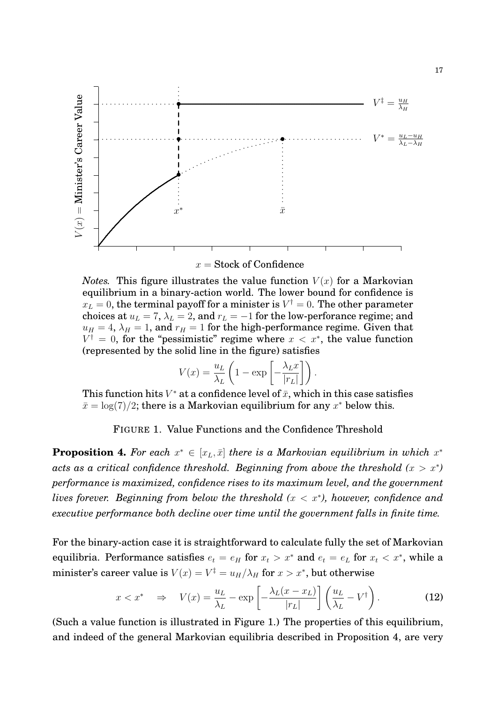

*Notes.* This figure illustrates the value function  $V(x)$  for a Markovian equilibrium in a binary-action world. The lower bound for confidence is  $x_L=0,$  the terminal payoff for a minister is  $V^\dagger=0.$  The other parameter choices at  $u_L = 7$ ,  $\lambda_L = 2$ , and  $r_L = -1$  for the low-perforance regime; and  $u_H = 4$ ,  $\lambda_H = 1$ , and  $r_H = 1$  for the high-performance regime. Given that  $V^{\dagger} = 0$ , for the "pessimistic" regime where  $x < x^*$ , the value function (represented by the solid line in the figure) satisfies

$$
V(x) = \frac{u_L}{\lambda_L} \left( 1 - \exp\left[ -\frac{\lambda_L x}{|r_L|} \right] \right).
$$

This function hits  $V^*$  at a confidence level of  $\bar{x},$  which in this case satisfies  $\bar{x} = \log(7)/2$ ; there is a Markovian equilibrium for any  $x^*$  below this.

FIGURE 1. Value Functions and the Confidence Threshold

**Proposition 4.** For each  $x^* \in [x_L, \bar{x}]$  there is a Markovian equilibrium in which  $x^*$ *acts as a critical confidence threshold. Beginning from above the threshold*  $(x > x^*)$ *performance is maximized, confidence rises to its maximum level, and the government lives forever. Beginning from below the threshold (*x < x<sup>∗</sup> *), however, confidence and executive performance both decline over time until the government falls in finite time.*

For the binary-action case it is straightforward to calculate fully the set of Markovian equilibria. Performance satisfies  $e_t = e_H$  for  $x_t > x^*$  and  $e_t = e_L$  for  $x_t < x^*$ , while a minister's career value is  $V(x) = V^{\ddagger} = u_H/\lambda_H$  for  $x > x^*$ , but otherwise

$$
x < x^* \quad \Rightarrow \quad V(x) = \frac{u_L}{\lambda_L} - \exp\left[-\frac{\lambda_L (x - x_L)}{|r_L|}\right] \left(\frac{u_L}{\lambda_L} - V^{\dagger}\right). \tag{12}
$$

(Such a value function is illustrated in Figure 1.) The properties of this equilibrium, and indeed of the general Markovian equilibria described in Proposition 4, are very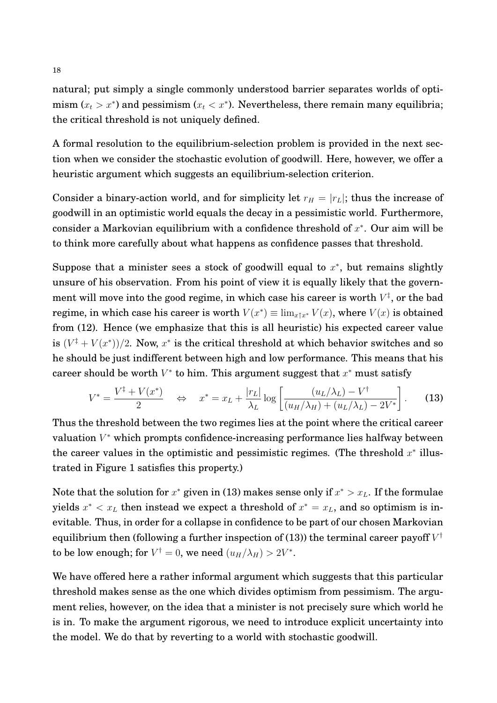natural; put simply a single commonly understood barrier separates worlds of optimism  $(x_t > x^*)$  and pessimism  $(x_t < x^*)$ . Nevertheless, there remain many equilibria; the critical threshold is not uniquely defined.

A formal resolution to the equilibrium-selection problem is provided in the next section when we consider the stochastic evolution of goodwill. Here, however, we offer a heuristic argument which suggests an equilibrium-selection criterion.

Consider a binary-action world, and for simplicity let  $r_H = |r_L|$ ; thus the increase of goodwill in an optimistic world equals the decay in a pessimistic world. Furthermore, consider a Markovian equilibrium with a confidence threshold of  $x^*$ . Our aim will be to think more carefully about what happens as confidence passes that threshold.

Suppose that a minister sees a stock of goodwill equal to  $x^*$ , but remains slightly unsure of his observation. From his point of view it is equally likely that the government will move into the good regime, in which case his career is worth  $V^{\ddagger}$ , or the bad regime, in which case his career is worth  $V(x^*) \equiv \lim_{x \uparrow x^*} V(x)$ , where  $V(x)$  is obtained from (12). Hence (we emphasize that this is all heuristic) his expected career value is  $(V^{\ddagger} + V(x^*))/2$ . Now,  $x^*$  is the critical threshold at which behavior switches and so he should be just indifferent between high and low performance. This means that his career should be worth  $V^*$  to him. This argument suggest that  $x^*$  must satisfy

$$
V^* = \frac{V^{\ddagger} + V(x^*)}{2} \quad \Leftrightarrow \quad x^* = x_L + \frac{|r_L|}{\lambda_L} \log \left[ \frac{(u_L/\lambda_L) - V^{\dagger}}{(u_H/\lambda_H) + (u_L/\lambda_L) - 2V^*} \right]. \tag{13}
$$

Thus the threshold between the two regimes lies at the point where the critical career valuation  $V^*$  which prompts confidence-increasing performance lies halfway between the career values in the optimistic and pessimistic regimes. (The threshold  $x^*$  illustrated in Figure 1 satisfies this property.)

Note that the solution for  $x^*$  given in (13) makes sense only if  $x^* > x_L$ . If the formulae yields  $x^* < x_L$  then instead we expect a threshold of  $x^* = x_L$ , and so optimism is inevitable. Thus, in order for a collapse in confidence to be part of our chosen Markovian equilibrium then (following a further inspection of (13)) the terminal career payoff  $V^{\dagger}$ to be low enough; for  $V^{\dagger}=0$ , we need  $(u_H/\lambda_H)>2V^*.$ 

We have offered here a rather informal argument which suggests that this particular threshold makes sense as the one which divides optimism from pessimism. The argument relies, however, on the idea that a minister is not precisely sure which world he is in. To make the argument rigorous, we need to introduce explicit uncertainty into the model. We do that by reverting to a world with stochastic goodwill.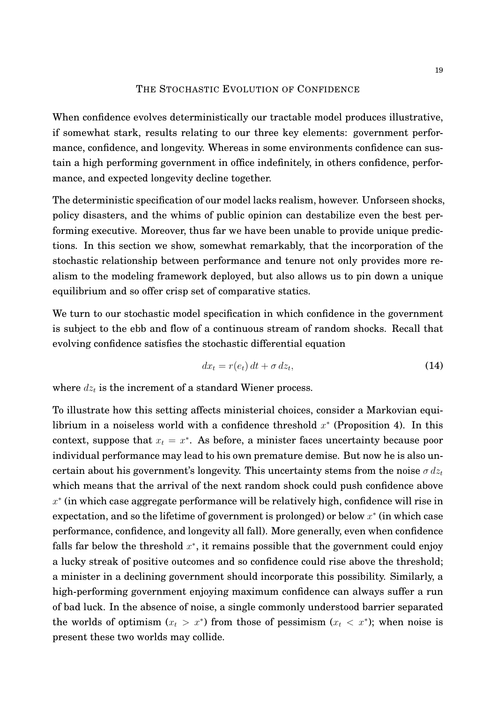#### THE STOCHASTIC EVOLUTION OF CONFIDENCE

When confidence evolves deterministically our tractable model produces illustrative, if somewhat stark, results relating to our three key elements: government performance, confidence, and longevity. Whereas in some environments confidence can sustain a high performing government in office indefinitely, in others confidence, performance, and expected longevity decline together.

The deterministic specification of our model lacks realism, however. Unforseen shocks, policy disasters, and the whims of public opinion can destabilize even the best performing executive. Moreover, thus far we have been unable to provide unique predictions. In this section we show, somewhat remarkably, that the incorporation of the stochastic relationship between performance and tenure not only provides more realism to the modeling framework deployed, but also allows us to pin down a unique equilibrium and so offer crisp set of comparative statics.

We turn to our stochastic model specification in which confidence in the government is subject to the ebb and flow of a continuous stream of random shocks. Recall that evolving confidence satisfies the stochastic differential equation

$$
dx_t = r(e_t) dt + \sigma dz_t, \qquad (14)
$$

where  $dz_t$  is the increment of a standard Wiener process.

To illustrate how this setting affects ministerial choices, consider a Markovian equilibrium in a noiseless world with a confidence threshold  $x^*$  (Proposition 4). In this context, suppose that  $x_t = x^*$ . As before, a minister faces uncertainty because poor individual performance may lead to his own premature demise. But now he is also uncertain about his government's longevity. This uncertainty stems from the noise  $\sigma dz_t$ which means that the arrival of the next random shock could push confidence above  $x^*$  (in which case aggregate performance will be relatively high, confidence will rise in expectation, and so the lifetime of government is prolonged) or below  $x^*$  (in which case performance, confidence, and longevity all fall). More generally, even when confidence falls far below the threshold  $x^*$ , it remains possible that the government could enjoy a lucky streak of positive outcomes and so confidence could rise above the threshold; a minister in a declining government should incorporate this possibility. Similarly, a high-performing government enjoying maximum confidence can always suffer a run of bad luck. In the absence of noise, a single commonly understood barrier separated the worlds of optimism  $(x_t > x^*)$  from those of pessimism  $(x_t < x^*)$ ; when noise is present these two worlds may collide.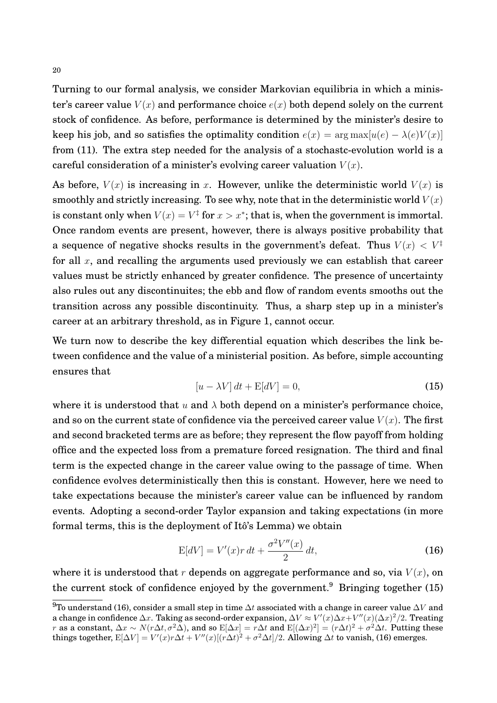Turning to our formal analysis, we consider Markovian equilibria in which a minister's career value  $V(x)$  and performance choice  $e(x)$  both depend solely on the current stock of confidence. As before, performance is determined by the minister's desire to keep his job, and so satisfies the optimality condition  $e(x) = \arg \max[u(e) - \lambda(e)V(x)]$ from (11). The extra step needed for the analysis of a stochastc-evolution world is a careful consideration of a minister's evolving career valuation  $V(x)$ .

As before,  $V(x)$  is increasing in x. However, unlike the deterministic world  $V(x)$  is smoothly and strictly increasing. To see why, note that in the deterministic world  $V(x)$ is constant only when  $V(x) = V^{\ddagger}$  for  $x > x^*$ ; that is, when the government is immortal. Once random events are present, however, there is always positive probability that a sequence of negative shocks results in the government's defeat. Thus  $V(x) < V^{\ddagger}$ for all  $x$ , and recalling the arguments used previously we can establish that career values must be strictly enhanced by greater confidence. The presence of uncertainty also rules out any discontinuites; the ebb and flow of random events smooths out the transition across any possible discontinuity. Thus, a sharp step up in a minister's career at an arbitrary threshold, as in Figure 1, cannot occur.

We turn now to describe the key differential equation which describes the link between confidence and the value of a ministerial position. As before, simple accounting ensures that

$$
[u - \lambda V] dt + \mathcal{E}[dV] = 0,
$$
\n(15)

where it is understood that u and  $\lambda$  both depend on a minister's performance choice, and so on the current state of confidence via the perceived career value  $V(x)$ . The first and second bracketed terms are as before; they represent the flow payoff from holding office and the expected loss from a premature forced resignation. The third and final term is the expected change in the career value owing to the passage of time. When confidence evolves deterministically then this is constant. However, here we need to take expectations because the minister's career value can be influenced by random events. Adopting a second-order Taylor expansion and taking expectations (in more formal terms, this is the deployment of Itô's Lemma) we obtain

$$
E[dV] = V'(x)r dt + \frac{\sigma^2 V''(x)}{2} dt,
$$
\n(16)

where it is understood that r depends on aggregate performance and so, via  $V(x)$ , on the current stock of confidence enjoyed by the government.<sup>9</sup> Bringing together  $(15)$ 

<sup>&</sup>lt;sup>9</sup>To understand (16), consider a small step in time  $\Delta t$  associated with a change in career value  $\Delta V$  and a change in confidence  $\Delta x$ . Taking as second-order expansion,  $\Delta V \approx V'(x) \Delta x + V''(x) (\Delta x)^2/2$ . Treating r as a constant,  $\Delta x \sim N(r\Delta t, \sigma^2 \Delta)$ , and so  $E[\Delta x] = r\Delta t$  and  $E[(\Delta x)^2] = (r\Delta t)^2 + \sigma^2 \Delta t$ . Putting these things together,  $E[\Delta V] = V'(x)r\Delta t + V''(x)[(r\Delta t)^2 + \sigma^2 \Delta t]/2$ . Allowing  $\Delta t$  to vanish, (16) emerges.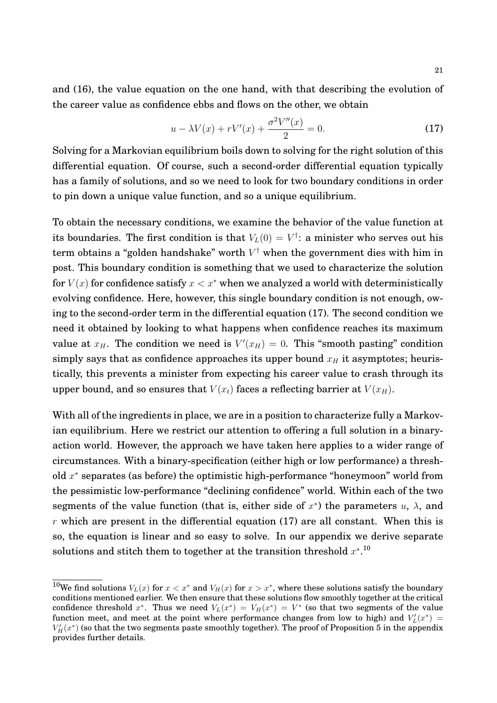and (16), the value equation on the one hand, with that describing the evolution of the career value as confidence ebbs and flows on the other, we obtain

$$
u - \lambda V(x) + rV'(x) + \frac{\sigma^2 V''(x)}{2} = 0.
$$
 (17)

Solving for a Markovian equilibrium boils down to solving for the right solution of this differential equation. Of course, such a second-order differential equation typically has a family of solutions, and so we need to look for two boundary conditions in order to pin down a unique value function, and so a unique equilibrium.

To obtain the necessary conditions, we examine the behavior of the value function at its boundaries. The first condition is that  $V_L(0) = V^{\dagger}$ : a minister who serves out his term obtains a "golden handshake" worth  $V^{\dagger}$  when the government dies with him in post. This boundary condition is something that we used to characterize the solution for  $V(x)$  for confidence satisfy  $x < x^*$  when we analyzed a world with deterministically evolving confidence. Here, however, this single boundary condition is not enough, owing to the second-order term in the differential equation (17). The second condition we need it obtained by looking to what happens when confidence reaches its maximum value at  $x_H$ . The condition we need is  $V'(x_H) = 0$ . This "smooth pasting" condition simply says that as confidence approaches its upper bound  $x_H$  it asymptotes; heuristically, this prevents a minister from expecting his career value to crash through its upper bound, and so ensures that  $V(x_t)$  faces a reflecting barrier at  $V(x_H)$ .

With all of the ingredients in place, we are in a position to characterize fully a Markovian equilibrium. Here we restrict our attention to offering a full solution in a binaryaction world. However, the approach we have taken here applies to a wider range of circumstances. With a binary-specification (either high or low performance) a threshold x ∗ separates (as before) the optimistic high-performance "honeymoon" world from the pessimistic low-performance "declining confidence" world. Within each of the two segments of the value function (that is, either side of  $x^*$ ) the parameters  $u$ ,  $\lambda$ , and  $r$  which are present in the differential equation (17) are all constant. When this is so, the equation is linear and so easy to solve. In our appendix we derive separate solutions and stitch them to together at the transition threshold  $x^*$ .<sup>10</sup>

<sup>&</sup>lt;sup>10</sup>We find solutions  $V_L(x)$  for  $x < x^*$  and  $V_H(x)$  for  $x > x^*$ , where these solutions satisfy the boundary conditions mentioned earlier. We then ensure that these solutions flow smoothly together at the critical confidence threshold  $x^*$ . Thus we need  $V_L(x^*) = V_H(x^*) = V^*$  (so that two segments of the value function meet, and meet at the point where performance changes from low to high) and  $V_L'(x^*)$  =  $V_H'(x^*)$  (so that the two segments paste smoothly together). The proof of Proposition 5 in the appendix provides further details.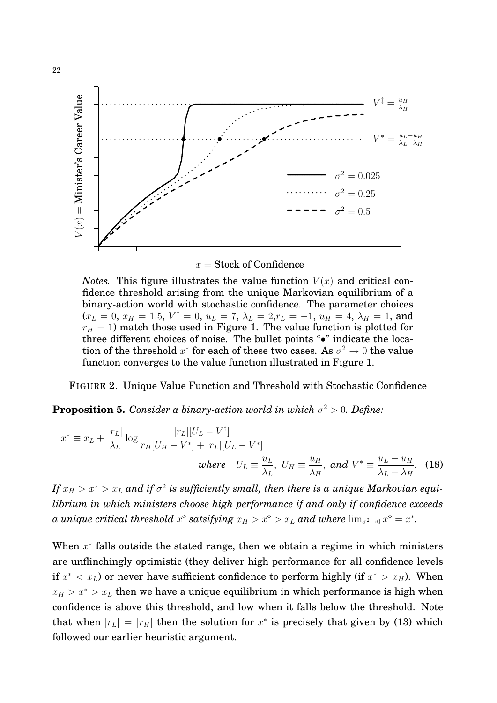

*Notes.* This figure illustrates the value function  $V(x)$  and critical confidence threshold arising from the unique Markovian equilibrium of a binary-action world with stochastic confidence. The parameter choices  $(x_L = 0, x_H = 1.5, V^{\dagger} = 0, u_L = 7, \, \lambda_L = 2, r_L = -1, u_H = 4, \, \lambda_H = 1, \, \text{and}$  $r_H = 1$ ) match those used in Figure 1. The value function is plotted for three different choices of noise. The bullet points " $\bullet$ " indicate the location of the threshold  $x^*$  for each of these two cases. As  $\sigma^2 \to 0$  the value function converges to the value function illustrated in Figure 1.

FIGURE 2. Unique Value Function and Threshold with Stochastic Confidence

**Proposition 5.** Consider a binary-action world in which  $\sigma^2 > 0$ . Define:

$$
x^* \equiv x_L + \frac{|r_L|}{\lambda_L} \log \frac{|r_L|[U_L - V^\dagger]}{r_H[U_H - V^*] + |r_L|[U_L - V^*]} where \quad U_L \equiv \frac{u_L}{\lambda_L}, \quad U_H \equiv \frac{u_H}{\lambda_H}, \quad and \quad V^* \equiv \frac{u_L - u_H}{\lambda_L - \lambda_H}. \quad (18)
$$

If  $x_H > x^* > x_L$  and if  $\sigma^2$  is sufficiently small, then there is a unique Markovian equi*librium in which ministers choose high performance if and only if confidence exceeds a* unique critical threshold  $x^{\diamond}$  satsifying  $x_H > x^{\diamond} > x_L$  and where  $\lim_{\sigma^2 \to 0} x^{\diamond} = x^*$ .

When  $x^*$  falls outside the stated range, then we obtain a regime in which ministers are unflinchingly optimistic (they deliver high performance for all confidence levels if  $x^* < x_L$ ) or never have sufficient confidence to perform highly (if  $x^* > x_H$ ). When  $x_H > x^* > x_L$  then we have a unique equilibrium in which performance is high when confidence is above this threshold, and low when it falls below the threshold. Note that when  $|r_L| = |r_H|$  then the solution for  $x^*$  is precisely that given by (13) which followed our earlier heuristic argument.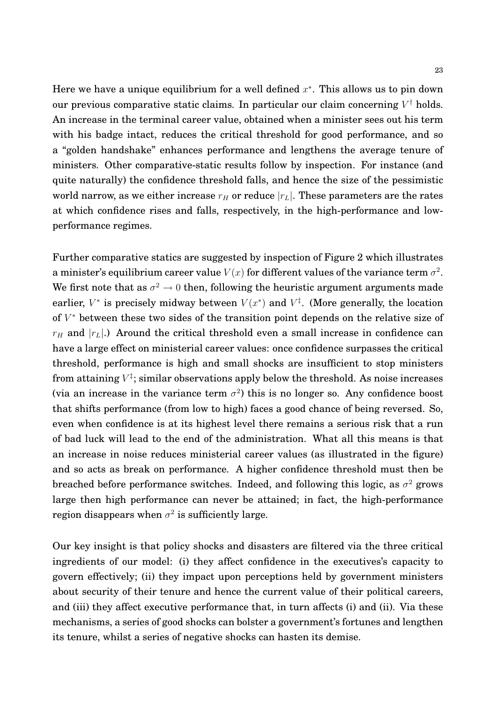Here we have a unique equilibrium for a well defined  $x^*$ . This allows us to pin down our previous comparative static claims. In particular our claim concerning  $V^{\dagger}$  holds. An increase in the terminal career value, obtained when a minister sees out his term with his badge intact, reduces the critical threshold for good performance, and so a "golden handshake" enhances performance and lengthens the average tenure of ministers. Other comparative-static results follow by inspection. For instance (and quite naturally) the confidence threshold falls, and hence the size of the pessimistic world narrow, as we either increase  $r_H$  or reduce  $|r_L|$ . These parameters are the rates at which confidence rises and falls, respectively, in the high-performance and lowperformance regimes.

Further comparative statics are suggested by inspection of Figure 2 which illustrates a minister's equilibrium career value  $V(x)$  for different values of the variance term  $\sigma^2$ . We first note that as  $\sigma^2 \to 0$  then, following the heuristic argument arguments made earlier,  $V^*$  is precisely midway between  $V(x^*)$  and  $V^{\ddagger}$ . (More generally, the location of  $V^*$  between these two sides of the transition point depends on the relative size of  $r_H$  and  $|r_L|$ .) Around the critical threshold even a small increase in confidence can have a large effect on ministerial career values: once confidence surpasses the critical threshold, performance is high and small shocks are insufficient to stop ministers from attaining  $V^{\ddagger}$ ; similar observations apply below the threshold. As noise increases (via an increase in the variance term  $\sigma^2$ ) this is no longer so. Any confidence boost that shifts performance (from low to high) faces a good chance of being reversed. So, even when confidence is at its highest level there remains a serious risk that a run of bad luck will lead to the end of the administration. What all this means is that an increase in noise reduces ministerial career values (as illustrated in the figure) and so acts as break on performance. A higher confidence threshold must then be breached before performance switches. Indeed, and following this logic, as  $\sigma^2$  grows large then high performance can never be attained; in fact, the high-performance region disappears when  $\sigma^2$  is sufficiently large.

Our key insight is that policy shocks and disasters are filtered via the three critical ingredients of our model: (i) they affect confidence in the executives's capacity to govern effectively; (ii) they impact upon perceptions held by government ministers about security of their tenure and hence the current value of their political careers, and (iii) they affect executive performance that, in turn affects (i) and (ii). Via these mechanisms, a series of good shocks can bolster a government's fortunes and lengthen its tenure, whilst a series of negative shocks can hasten its demise.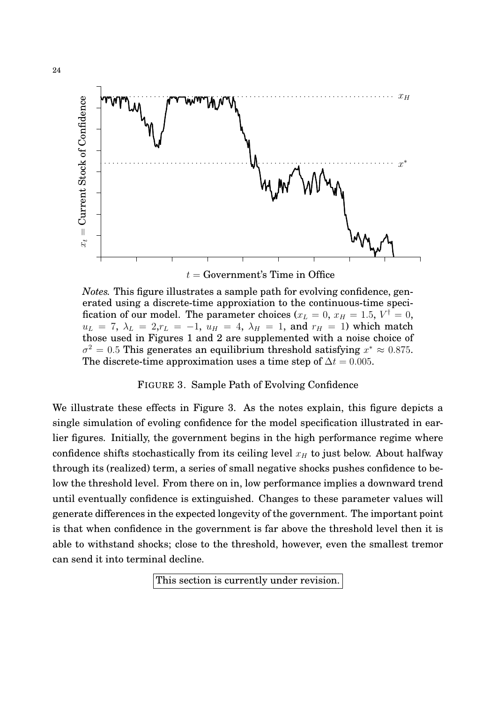

*Notes.* This figure illustrates a sample path for evolving confidence, generated using a discrete-time approxiation to the continuous-time specification of our model. The parameter choices ( $x_L = 0$ ,  $x_H = 1.5$ ,  $V^{\dagger} = 0$ ,  $u_L = 7$ ,  $\lambda_L = 2$ ,  $r_L = -1$ ,  $u_H = 4$ ,  $\lambda_H = 1$ , and  $r_H = 1$ ) which match those used in Figures 1 and 2 are supplemented with a noise choice of  $\sigma^2 = 0.5$  This generates an equilibrium threshold satisfying  $x^* \approx 0.875$ . The discrete-time approximation uses a time step of  $\Delta t = 0.005$ .

# FIGURE 3. Sample Path of Evolving Confidence

We illustrate these effects in Figure 3. As the notes explain, this figure depicts a single simulation of evoling confidence for the model specification illustrated in earlier figures. Initially, the government begins in the high performance regime where confidence shifts stochastically from its ceiling level  $x_H$  to just below. About halfway through its (realized) term, a series of small negative shocks pushes confidence to below the threshold level. From there on in, low performance implies a downward trend until eventually confidence is extinguished. Changes to these parameter values will generate differences in the expected longevity of the government. The important point is that when confidence in the government is far above the threshold level then it is able to withstand shocks; close to the threshold, however, even the smallest tremor can send it into terminal decline.

This section is currently under revision.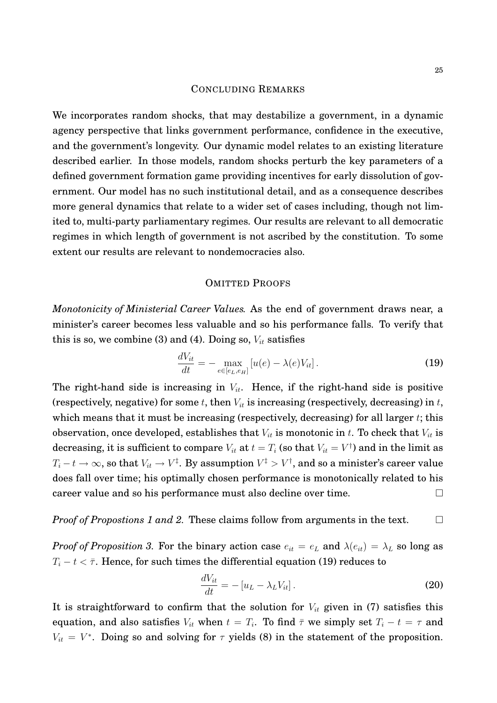#### CONCLUDING REMARKS

We incorporates random shocks, that may destabilize a government, in a dynamic agency perspective that links government performance, confidence in the executive, and the government's longevity. Our dynamic model relates to an existing literature described earlier. In those models, random shocks perturb the key parameters of a defined government formation game providing incentives for early dissolution of government. Our model has no such institutional detail, and as a consequence describes more general dynamics that relate to a wider set of cases including, though not limited to, multi-party parliamentary regimes. Our results are relevant to all democratic regimes in which length of government is not ascribed by the constitution. To some extent our results are relevant to nondemocracies also.

#### OMITTED PROOFS

*Monotonicity of Ministerial Career Values.* As the end of government draws near, a minister's career becomes less valuable and so his performance falls. To verify that this is so, we combine (3) and (4). Doing so,  $V_{it}$  satisfies

$$
\frac{dV_{it}}{dt} = -\max_{e \in [e_L, e_H]} [u(e) - \lambda(e)V_{it}].
$$
\n(19)

The right-hand side is increasing in  $V_{it}$ . Hence, if the right-hand side is positive (respectively, negative) for some t, then  $V_{it}$  is increasing (respectively, decreasing) in t, which means that it must be increasing (respectively, decreasing) for all larger  $t$ ; this observation, once developed, establishes that  $V_{it}$  is monotonic in  $t$ . To check that  $V_{it}$  is decreasing, it is sufficient to compare  $V_{it}$  at  $t=T_i$  (so that  $V_{it}=V^{\dagger}$ ) and in the limit as  $T_i-t\to\infty$ , so that  $V_{it}\to V^\ddagger$ . By assumption  $V^\ddagger>V^\dagger$ , and so a minister's career value does fall over time; his optimally chosen performance is monotonically related to his career value and so his performance must also decline over time.

## *Proof of Propostions 1 and 2.* These claims follow from arguments in the text.  $\Box$

*Proof of Proposition 3.* For the binary action case  $e_{it} = e_L$  and  $\lambda(e_{it}) = \lambda_L$  so long as  $T_i - t < \bar{\tau}$ . Hence, for such times the differential equation (19) reduces to

$$
\frac{dV_{it}}{dt} = -\left[u_L - \lambda_L V_{it}\right].\tag{20}
$$

It is straightforward to confirm that the solution for  $V_{it}$  given in (7) satisfies this equation, and also satisfies  $V_{it}$  when  $t = T_i$ . To find  $\bar{\tau}$  we simply set  $T_i - t = \tau$  and  $V_{it} = V^*$ . Doing so and solving for  $\tau$  yields (8) in the statement of the proposition.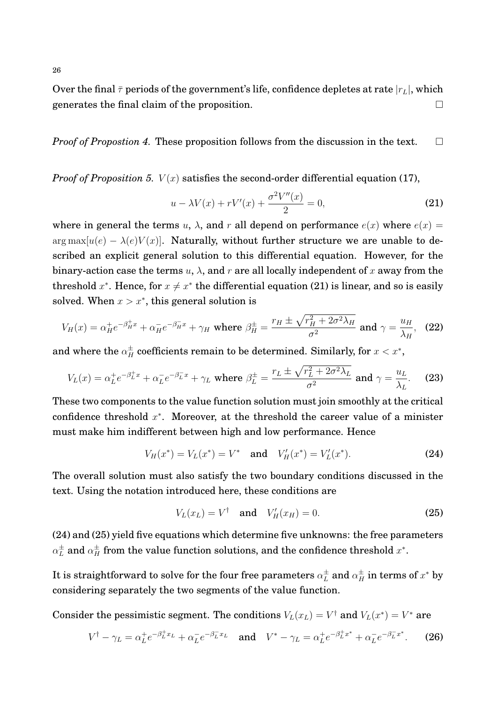Over the final  $\bar{\tau}$  periods of the government's life, confidence depletes at rate  $|r_L|$ , which generates the final claim of the proposition.

*Proof of Propostion 4.* These proposition follows from the discussion in the text.  $\Box$ 

*Proof of Proposition 5.*  $V(x)$  satisfies the second-order differential equation (17),

$$
u - \lambda V(x) + rV'(x) + \frac{\sigma^2 V''(x)}{2} = 0,
$$
\n(21)

where in general the terms u,  $\lambda$ , and r all depend on performance  $e(x)$  where  $e(x)$  $\arg \max[u(e) - \lambda(e)V(x)].$  Naturally, without further structure we are unable to described an explicit general solution to this differential equation. However, for the binary-action case the terms  $u, \lambda$ , and r are all locally independent of x away from the threshold  $x^*$ . Hence, for  $x \neq x^*$  the differential equation (21) is linear, and so is easily solved. When  $x > x^*$ , this general solution is

$$
V_H(x) = \alpha_H^+ e^{-\beta_H^+ x} + \alpha_H^- e^{-\beta_H^- x} + \gamma_H \text{ where } \beta_H^{\pm} = \frac{r_H \pm \sqrt{r_H^2 + 2\sigma^2 \lambda_H}}{\sigma^2} \text{ and } \gamma = \frac{u_H}{\lambda_H}, \quad (22)
$$

and where the  $\alpha_H^\pm$  coefficients remain to be determined. Similarly, for  $x < x^*$ ,

$$
V_L(x) = \alpha_L^+ e^{-\beta_L^+ x} + \alpha_L^- e^{-\beta_L^- x} + \gamma_L \text{ where } \beta_L^{\pm} = \frac{r_L \pm \sqrt{r_L^2 + 2\sigma^2 \lambda_L}}{\sigma^2} \text{ and } \gamma = \frac{u_L}{\lambda_L}.
$$
 (23)

These two components to the value function solution must join smoothly at the critical confidence threshold  $x^*$ . Moreover, at the threshold the career value of a minister must make him indifferent between high and low performance. Hence

$$
V_H(x^*) = V_L(x^*) = V^* \quad \text{and} \quad V'_H(x^*) = V'_L(x^*). \tag{24}
$$

The overall solution must also satisfy the two boundary conditions discussed in the text. Using the notation introduced here, these conditions are

$$
V_L(x_L) = V^{\dagger} \quad \text{and} \quad V'_H(x_H) = 0. \tag{25}
$$

(24) and (25) yield five equations which determine five unknowns: the free parameters  $\alpha^\pm_L$  and  $\alpha^\pm_H$  from the value function solutions, and the confidence threshold  $x^*.$ 

It is straightforward to solve for the four free parameters  $\alpha^\pm_L$  and  $\alpha^\pm_H$  in terms of  $x^*$  by considering separately the two segments of the value function.

Consider the pessimistic segment. The conditions  $V_L(x_L) = V^{\dagger}$  and  $V_L(x^*) = V^*$  are

$$
V^{\dagger} - \gamma_L = \alpha_L^+ e^{-\beta_L^+ x_L} + \alpha_L^- e^{-\beta_L^- x_L} \quad \text{and} \quad V^* - \gamma_L = \alpha_L^+ e^{-\beta_L^+ x^*} + \alpha_L^- e^{-\beta_L^- x^*}.
$$
 (26)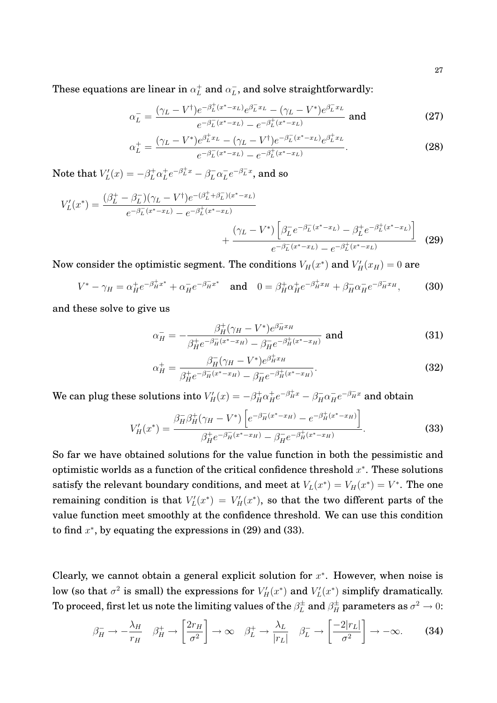These equations are linear in  $\alpha^+_L$  and  $\alpha^-_L$  $_L^-$ , and solve straightforwardly:

$$
\alpha_L^- = \frac{(\gamma_L - V^{\dagger})e^{-\beta_L^+(x^*-x_L)}e^{\beta_L^-x_L} - (\gamma_L - V^*)e^{\beta_L^-x_L}}{e^{-\beta_L^-(x^*-x_L)} - e^{-\beta_L^+(x^*-x_L)}} \text{ and } (27)
$$

$$
\alpha_L^+ = \frac{(\gamma_L - V^*)e^{\beta_L^+ x_L} - (\gamma_L - V^\dagger)e^{-\beta_L^-(x^*-x_L)}e^{\beta_L^+ x_L}}{e^{-\beta_L^-(x^*-x_L)} - e^{-\beta_L^+(x^*-x_L)}}.
$$
(28)

Note that  $V'_L(x) = -\beta_L^+ \alpha_L^+$  $_{L}^{+}e^{-\beta_{L}^{+}x}-\beta_{L}^{-}\alpha_{L}^{-}$  $\bar{L}e^{-\beta_L^- x}$ , and so

$$
V_L'(x^*) = \frac{(\beta_L^+ - \beta_L^-)(\gamma_L - V^\dagger)e^{-(\beta_L^+ + \beta_L^-)(x^* - x_L)}}{e^{-\beta_L^-(x^* - x_L)} - e^{-\beta_L^+(x^* - x_L)}} + \frac{(\gamma_L - V^*)\left[\beta_L^- e^{-\beta_L^-(x^* - x_L)} - \beta_L^+ e^{-\beta_L^+(x^* - x_L)}\right]}{e^{-\beta_L^-(x^* - x_L)} - e^{-\beta_L^+(x^* - x_L)}} \tag{29}
$$

Now consider the optimistic segment. The conditions  $V_H(x^*)$  and  $V'_H(x_H) = 0$  are

$$
V^* - \gamma_H = \alpha_H^+ e^{-\beta_H^+ x^*} + \alpha_H^- e^{-\beta_H^- x^*} \quad \text{and} \quad 0 = \beta_H^+ \alpha_H^+ e^{-\beta_H^+ x_H} + \beta_H^- \alpha_H^- e^{-\beta_H^- x_H}, \tag{30}
$$

and these solve to give us

$$
\alpha_H^- = -\frac{\beta_H^+ (\gamma_H - V^*) e^{\beta_H^- x_H}}{\beta_H^+ e^{-\beta_H^- (x^* - x_H)} - \beta_H^- e^{-\beta_H^+ (x^* - x_H)}} \text{ and } (31)
$$

$$
\alpha_H^+ = \frac{\beta_H^-(\gamma_H - V^*)e^{\beta_H^+ x_H}}{\beta_H^+ e^{-\beta_H^-(x^* - x_H)} - \beta_H^- e^{-\beta_H^+(x^* - x_H)}}.
$$
\n(32)

We can plug these solutions into  $V_H'(x)=-\beta_H^+\alpha_H^+e^{-\beta_H^+x}-\beta_H^-\alpha_H^-e^{-\beta_H^-x}$  and obtain

$$
V'_{H}(x^{*}) = \frac{\beta_{H}^{-} \beta_{H}^{+} (\gamma_{H} - V^{*}) \left[ e^{-\beta_{H}^{-} (x^{*} - x_{H})} - e^{-\beta_{H}^{+} (x^{*} - x_{H})} \right]}{\beta_{H}^{+} e^{-\beta_{H}^{-} (x^{*} - x_{H})} - \beta_{H}^{-} e^{-\beta_{H}^{+} (x^{*} - x_{H})}}.
$$
(33)

So far we have obtained solutions for the value function in both the pessimistic and optimistic worlds as a function of the critical confidence threshold  $x^*$ . These solutions satisfy the relevant boundary conditions, and meet at  $V_L(x^*) = V_H(x^*) = V^*$ . The one remaining condition is that  $V_L'(x^*) = V_H'(x^*)$ , so that the two different parts of the value function meet smoothly at the confidence threshold. We can use this condition to find  $x^*$ , by equating the expressions in (29) and (33).

Clearly, we cannot obtain a general explicit solution for  $x^*$ . However, when noise is low (so that  $\sigma^2$  is small) the expressions for  $V_H'(x^*)$  and  $V_L'(x^*)$  simplify dramatically. To proceed, first let us note the limiting values of the  $\beta_L^\pm$  and  $\beta_H^\pm$  parameters as  $\sigma^2\to 0$ :

$$
\beta_H^- \to -\frac{\lambda_H}{r_H} \quad \beta_H^+ \to \left[\frac{2r_H}{\sigma^2}\right] \to \infty \quad \beta_L^+ \to \frac{\lambda_L}{|r_L|} \quad \beta_L^- \to \left[\frac{-2|r_L|}{\sigma^2}\right] \to -\infty. \tag{34}
$$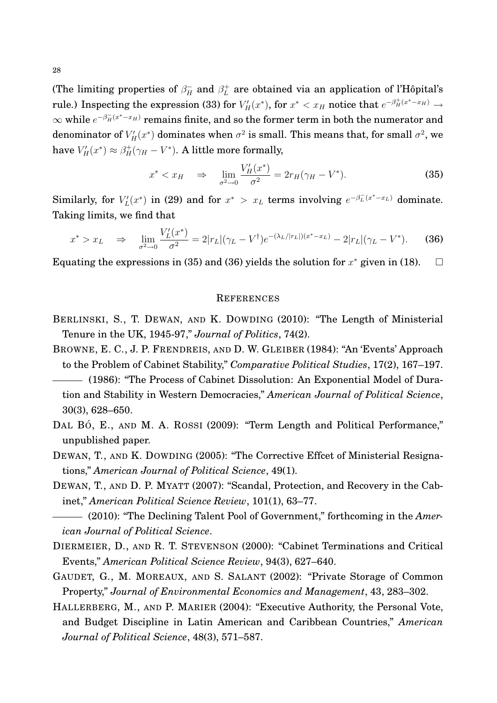(The limiting properties of  $\beta^-_H$  and  $\beta^+_L$  are obtained via an application of l'Hôpital's rule.) Inspecting the expression (33) for  $V_H'(x^*)$ , for  $x^* < x_H$  notice that  $e^{-\beta_H^+(x^* - x_H)} \to$  $\infty$  while  $e^{-\beta_H^-(x^*-x_H)}$  remains finite, and so the former term in both the numerator and denominator of  $V_H'(x^*)$  dominates when  $\sigma^2$  is small. This means that, for small  $\sigma^2$ , we have  $V_H'(x^*)\approx \beta_H^+(\gamma_H-V^*)$ . A little more formally,

$$
x^* < x_H \quad \Rightarrow \quad \lim_{\sigma^2 \to 0} \frac{V'_H(x^*)}{\sigma^2} = 2r_H(\gamma_H - V^*). \tag{35}
$$

Similarly, for  $V'_L(x^*)$  in (29) and for  $x^* > x_L$  terms involving  $e^{-\beta_L^-(x^*-x_L)}$  dominate. Taking limits, we find that

$$
x^* > x_L \quad \Rightarrow \quad \lim_{\sigma^2 \to 0} \frac{V_L'(x^*)}{\sigma^2} = 2|r_L|(\gamma_L - V^\dagger)e^{-(\lambda_L/|r_L|)(x^* - x_L)} - 2|r_L|(\gamma_L - V^*). \tag{36}
$$

Equating the expressions in (35) and (36) yields the solution for  $x^*$  given in (18).  $\Box$ 

## **REFERENCES**

- BERLINSKI, S., T. DEWAN, AND K. DOWDING (2010): "The Length of Ministerial Tenure in the UK, 1945-97," *Journal of Politics*, 74(2).
- BROWNE, E. C., J. P. FRENDREIS, AND D. W. GLEIBER (1984): "An 'Events' Approach to the Problem of Cabinet Stability," *Comparative Political Studies*, 17(2), 167–197. (1986): "The Process of Cabinet Dissolution: An Exponential Model of Dura
	- tion and Stability in Western Democracies," *American Journal of Political Science*, 30(3), 628–650.
- DAL BÓ, E., AND M. A. ROSSI (2009): "Term Length and Political Performance," unpublished paper.
- DEWAN, T., AND K. DOWDING (2005): "The Corrective Effcet of Ministerial Resignations," *American Journal of Political Science*, 49(1).
- DEWAN, T., AND D. P. MYATT (2007): "Scandal, Protection, and Recovery in the Cabinet," *American Political Science Review*, 101(1), 63–77.
- (2010): "The Declining Talent Pool of Government," forthcoming in the *American Journal of Political Science*.
- DIERMEIER, D., AND R. T. STEVENSON (2000): "Cabinet Terminations and Critical Events," *American Political Science Review*, 94(3), 627–640.
- GAUDET, G., M. MOREAUX, AND S. SALANT (2002): "Private Storage of Common Property," *Journal of Environmental Economics and Management*, 43, 283–302.
- HALLERBERG, M., AND P. MARIER (2004): "Executive Authority, the Personal Vote, and Budget Discipline in Latin American and Caribbean Countries," *American Journal of Political Science*, 48(3), 571–587.